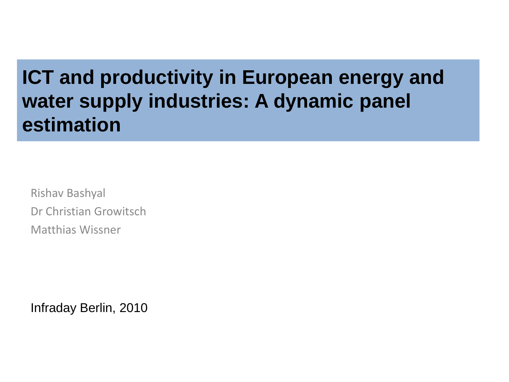### **ICT and productivity in European energy and water supply industries: A dynamic panel estimation**

Rishav Bashyal Dr Christian Growitsch Matthias Wissner

Infraday Berlin, 2010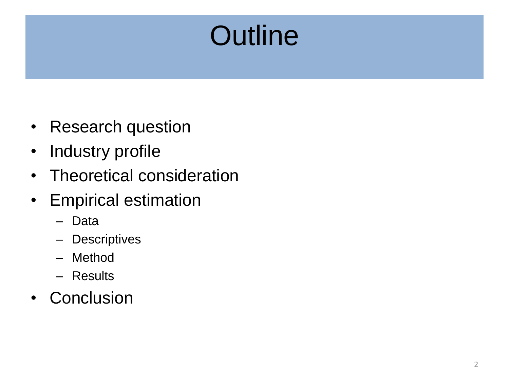# **Outline**

- Research question
- Industry profile
- Theoretical consideration
- Empirical estimation
	- Data
	- Descriptives
	- Method
	- Results
- Conclusion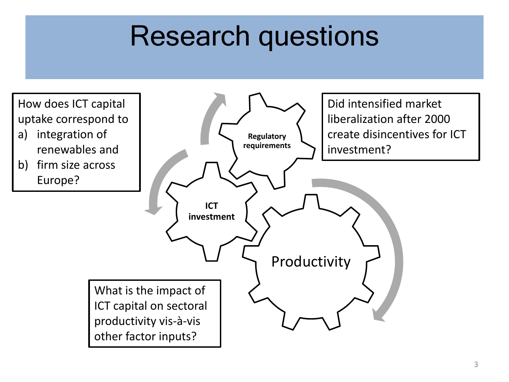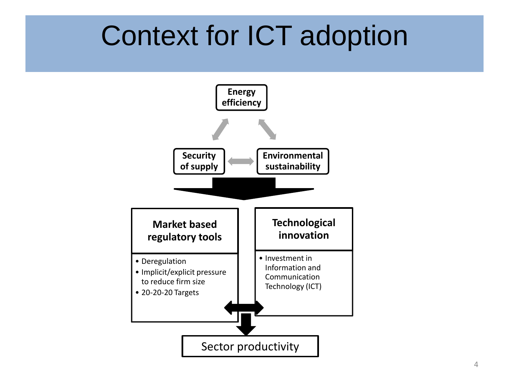## Context for ICT adoption

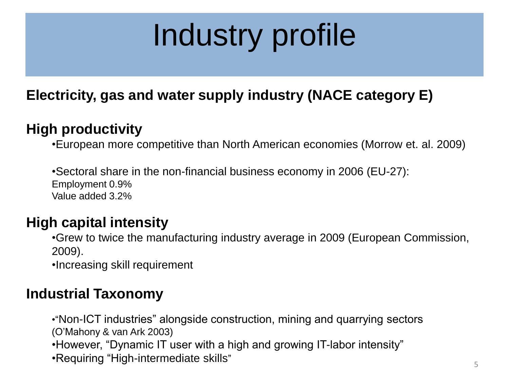# Industry profile

#### **Electricity, gas and water supply industry (NACE category E)**

#### **High productivity**

•European more competitive than North American economies (Morrow et. al. 2009)

•Sectoral share in the non-financial business economy in 2006 (EU-27): Employment 0.9% Value added 3.2%

#### **High capital intensity**

•Grew to twice the manufacturing industry average in 2009 (European Commission, 2009).

•Increasing skill requirement

#### **Industrial Taxonomy**

•"Non-ICT industries" alongside construction, mining and quarrying sectors (O'Mahony & van Ark 2003) •However, "Dynamic IT user with a high and growing IT-labor intensity" •Requiring "High-intermediate skills"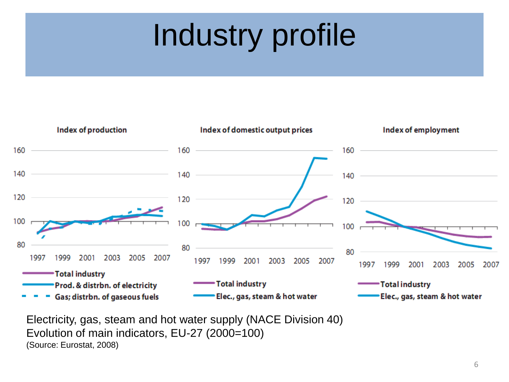# Industry profile



Electricity, gas, steam and hot water supply (NACE Division 40) Evolution of main indicators, EU-27 (2000=100) (Source: Eurostat, 2008)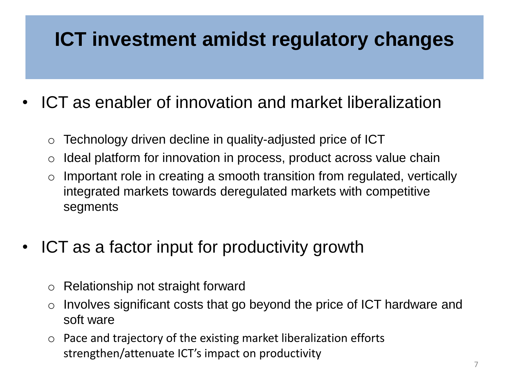### **ICT investment amidst regulatory changes**

- ICT as enabler of innovation and market liberalization
	- o Technology driven decline in quality-adjusted price of ICT
	- $\circ$  Ideal platform for innovation in process, product across value chain
	- $\circ$  Important role in creating a smooth transition from regulated, vertically integrated markets towards deregulated markets with competitive segments
- ICT as a factor input for productivity growth
	- o Relationship not straight forward
	- $\circ$  Involves significant costs that go beyond the price of ICT hardware and soft ware
	- o Pace and trajectory of the existing market liberalization efforts strengthen/attenuate ICT's impact on productivity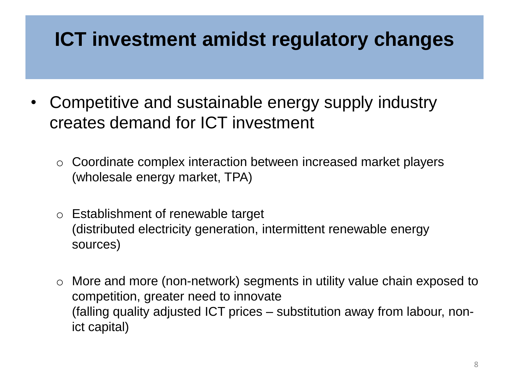#### **ICT investment amidst regulatory changes**

- Competitive and sustainable energy supply industry creates demand for ICT investment
	- o Coordinate complex interaction between increased market players (wholesale energy market, TPA)
	- o Establishment of renewable target (distributed electricity generation, intermittent renewable energy sources)
	- o More and more (non-network) segments in utility value chain exposed to competition, greater need to innovate (falling quality adjusted ICT prices – substitution away from labour, nonict capital)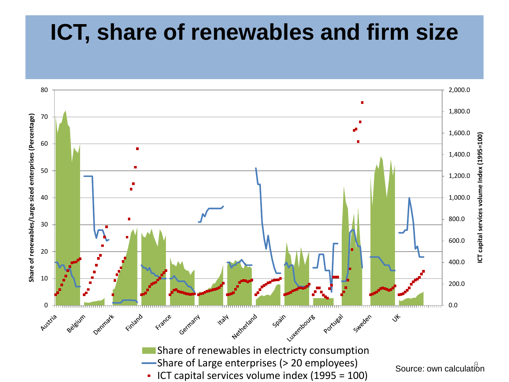### **ICT, share of renewables and firm size**

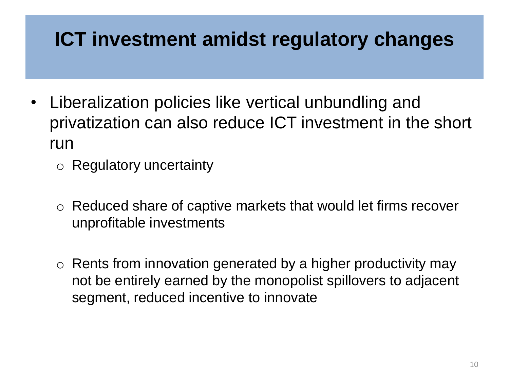#### **ICT investment amidst regulatory changes**

- Liberalization policies like vertical unbundling and privatization can also reduce ICT investment in the short run
	- o Regulatory uncertainty
	- o Reduced share of captive markets that would let firms recover unprofitable investments
	- $\circ$  Rents from innovation generated by a higher productivity may not be entirely earned by the monopolist spillovers to adjacent segment, reduced incentive to innovate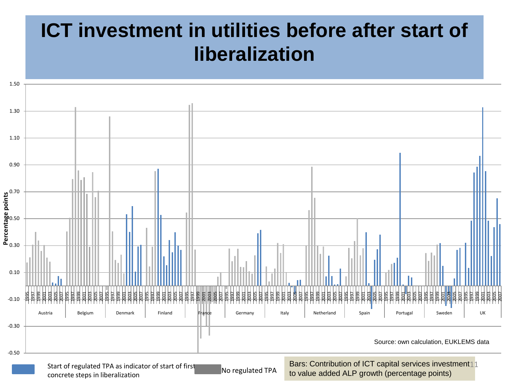### **ICT investment in utilities before after start of liberalization**

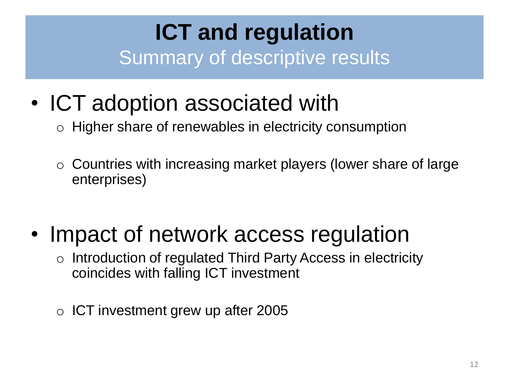### **ICT and regulation**  Summary of descriptive results

- ICT adoption associated with
	- o Higher share of renewables in electricity consumption
	- o Countries with increasing market players (lower share of large enterprises)
- Impact of network access regulation
	- o Introduction of regulated Third Party Access in electricity coincides with falling ICT investment
	- $\circ$  ICT investment grew up after 2005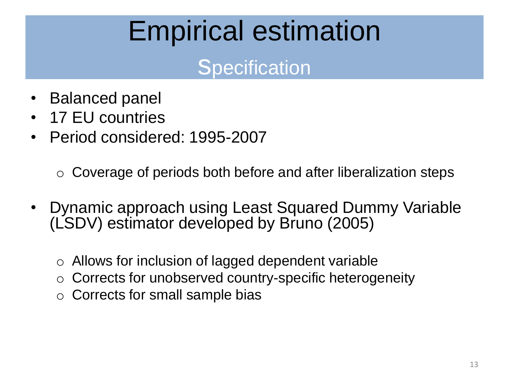## Empirical estimation

### **Specification**

- Balanced panel
- 17 EU countries
- Period considered: 1995-2007

 $\circ$  Coverage of periods both before and after liberalization steps

- Dynamic approach using Least Squared Dummy Variable (LSDV) estimator developed by Bruno (2005)
	- $\circ$  Allows for inclusion of lagged dependent variable
	- Corrects for unobserved country-specific heterogeneity
	- o Corrects for small sample bias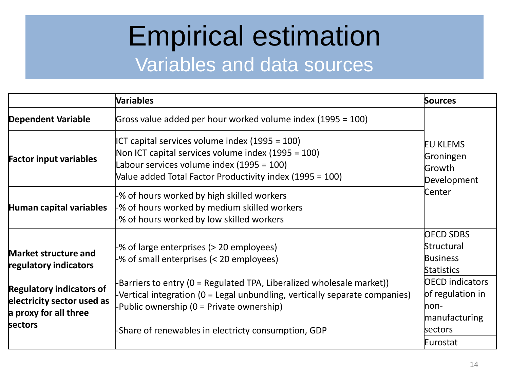### Empirical estimation Variables and data sources

|                                                                                                   | <b>Variables</b>                                                                                                                                                                                                                                      | <b>Sources</b>                                                                              |
|---------------------------------------------------------------------------------------------------|-------------------------------------------------------------------------------------------------------------------------------------------------------------------------------------------------------------------------------------------------------|---------------------------------------------------------------------------------------------|
| <b>Dependent Variable</b>                                                                         | Gross value added per hour worked volume index (1995 = 100)                                                                                                                                                                                           |                                                                                             |
| <b>Factor input variables</b>                                                                     | ICT capital services volume index $(1995 = 100)$<br>Non ICT capital services volume index $(1995 = 100)$<br>Labour services volume index (1995 = 100)<br>Value added Total Factor Productivity index (1995 = 100)                                     | <b>EU KLEMS</b><br>Groningen<br>Growth<br>Development                                       |
| Human capital variables                                                                           | % of hours worked by high skilled workers<br>-% of hours worked by medium skilled workers<br>-% of hours worked by low skilled workers                                                                                                                | Center                                                                                      |
| Market structure and<br>regulatory indicators                                                     | -% of large enterprises (> 20 employees)<br>-% of small enterprises (< 20 employees)                                                                                                                                                                  | <b>OECD SDBS</b><br>Structural<br><b>Business</b><br>Statistics                             |
| <b>Regulatory indicators of</b><br>electricity sector used as<br>a proxy for all three<br>sectors | Barriers to entry (0 = Regulated TPA, Liberalized wholesale market))<br>Vertical integration (0 = Legal unbundling, vertically separate companies)<br>Public ownership (0 = Private ownership)<br>-Share of renewables in electricty consumption, GDP | <b>OECD</b> indicators<br>of regulation in<br>$non$<br>manufacturing<br>sectors<br>Eurostat |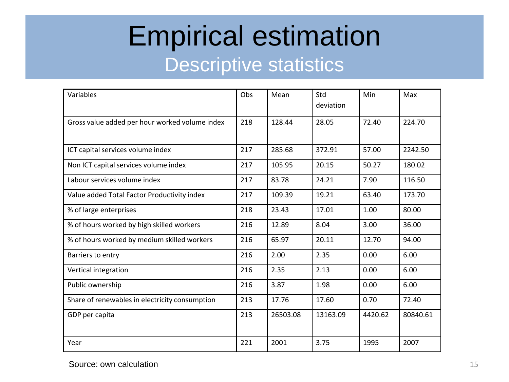### Empirical estimation Descriptive statistics

| Variables                                      | Obs | Mean     | Std<br>deviation | Min     | Max      |
|------------------------------------------------|-----|----------|------------------|---------|----------|
| Gross value added per hour worked volume index | 218 | 128.44   | 28.05            | 72.40   | 224.70   |
| ICT capital services volume index              | 217 | 285.68   | 372.91           | 57.00   | 2242.50  |
| Non ICT capital services volume index          | 217 | 105.95   | 20.15            | 50.27   | 180.02   |
| Labour services volume index                   | 217 | 83.78    | 24.21            | 7.90    | 116.50   |
| Value added Total Factor Productivity index    | 217 | 109.39   | 19.21            | 63.40   | 173.70   |
| % of large enterprises                         | 218 | 23.43    | 17.01            | 1.00    | 80.00    |
| % of hours worked by high skilled workers      | 216 | 12.89    | 8.04             | 3.00    | 36.00    |
| % of hours worked by medium skilled workers    | 216 | 65.97    | 20.11            | 12.70   | 94.00    |
| Barriers to entry                              | 216 | 2.00     | 2.35             | 0.00    | 6.00     |
| Vertical integration                           | 216 | 2.35     | 2.13             | 0.00    | 6.00     |
| Public ownership                               | 216 | 3.87     | 1.98             | 0.00    | 6.00     |
| Share of renewables in electricity consumption | 213 | 17.76    | 17.60            | 0.70    | 72.40    |
| GDP per capita                                 | 213 | 26503.08 | 13163.09         | 4420.62 | 80840.61 |
| Year                                           | 221 | 2001     | 3.75             | 1995    | 2007     |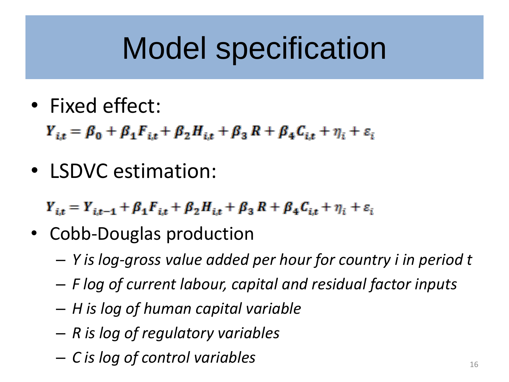# Model specification

• Fixed effect:

 $Y_{i,t} = \beta_0 + \beta_1 F_{i,t} + \beta_2 H_{i,t} + \beta_3 R + \beta_4 C_{i,t} + \eta_i + \varepsilon_i$ 

• LSDVC estimation:

 $Y_{i,t} = Y_{i,t-1} + \beta_1 F_{i,t} + \beta_2 H_{i,t} + \beta_3 R + \beta_4 C_{i,t} + \eta_i + \varepsilon_i$ 

- Cobb-Douglas production
	- *Y is log-gross value added per hour for country i in period t*
	- *F log of current labour, capital and residual factor inputs*
	- *H is log of human capital variable*
	- *R is log of regulatory variables*
	- *C is log of control variables* <sup>16</sup>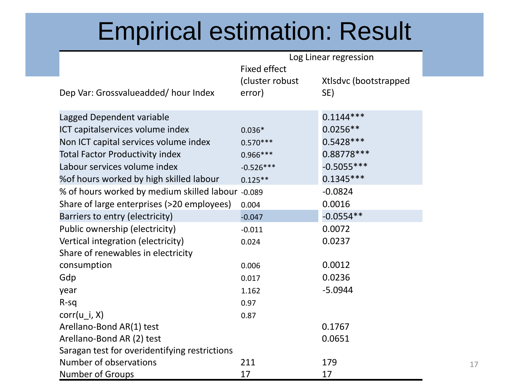### Empirical estimation: Result

| Log Linear regression                             |                     |                       |
|---------------------------------------------------|---------------------|-----------------------|
|                                                   | <b>Fixed effect</b> |                       |
|                                                   | (cluster robust)    | Xtlsdvc (bootstrapped |
| Dep Var: Grossvalueadded/hour Index               | error)              | SE)                   |
|                                                   |                     |                       |
| Lagged Dependent variable                         |                     | $0.1144***$           |
| ICT capitalservices volume index                  | $0.036*$            | $0.0256**$            |
| Non ICT capital services volume index             | $0.570***$          | $0.5428***$           |
| <b>Total Factor Productivity index</b>            | $0.966***$          | $0.88778***$          |
| Labour services volume index                      | $-0.526***$         | $-0.5055***$          |
| % of hours worked by high skilled labour          | $0.125**$           | $0.1345***$           |
| % of hours worked by medium skilled labour -0.089 |                     | $-0.0824$             |
| Share of large enterprises (>20 employees)        | 0.004               | 0.0016                |
| Barriers to entry (electricity)                   | $-0.047$            | $-0.0554**$           |
| Public ownership (electricity)                    | $-0.011$            | 0.0072                |
| Vertical integration (electricity)                | 0.024               | 0.0237                |
| Share of renewables in electricity                |                     |                       |
| consumption                                       | 0.006               | 0.0012                |
| Gdp                                               | 0.017               | 0.0236                |
| year                                              | 1.162               | $-5.0944$             |
| $R-Sq$                                            | 0.97                |                       |
| $corr(u_i, X)$                                    | 0.87                |                       |
| Arellano-Bond AR(1) test                          |                     | 0.1767                |
| Arellano-Bond AR (2) test                         |                     | 0.0651                |
| Saragan test for overidentifying restrictions     |                     |                       |
| Number of observations                            | 211                 | 179                   |
| <b>Number of Groups</b>                           | 17                  | 17                    |

17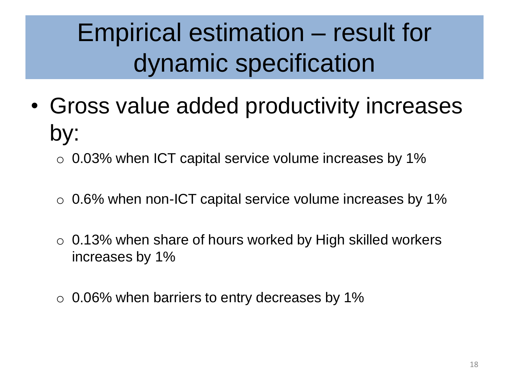## Empirical estimation – result for dynamic specification

- Gross value added productivity increases by:
	- $\circ$  0.03% when ICT capital service volume increases by 1%
	- $\circ$  0.6% when non-ICT capital service volume increases by 1%
	- $\circ$  0.13% when share of hours worked by High skilled workers increases by 1%
	- $\circ$  0.06% when barriers to entry decreases by 1%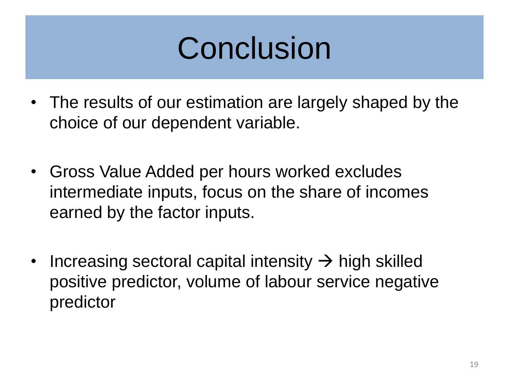## Conclusion

- The results of our estimation are largely shaped by the choice of our dependent variable.
- Gross Value Added per hours worked excludes intermediate inputs, focus on the share of incomes earned by the factor inputs.
- Increasing sectoral capital intensity  $\rightarrow$  high skilled positive predictor, volume of labour service negative predictor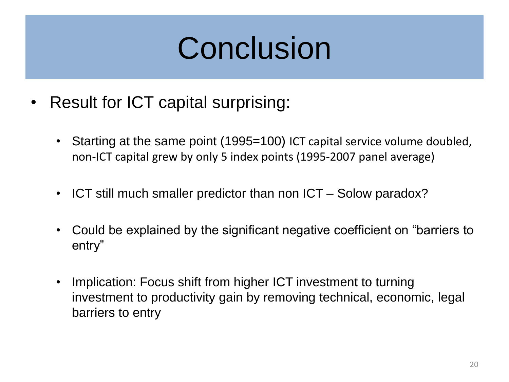# Conclusion

- Result for ICT capital surprising:
	- Starting at the same point (1995=100) ICT capital service volume doubled, non-ICT capital grew by only 5 index points (1995-2007 panel average)
	- ICT still much smaller predictor than non ICT Solow paradox?
	- Could be explained by the significant negative coefficient on "barriers to entry"
	- Implication: Focus shift from higher ICT investment to turning investment to productivity gain by removing technical, economic, legal barriers to entry